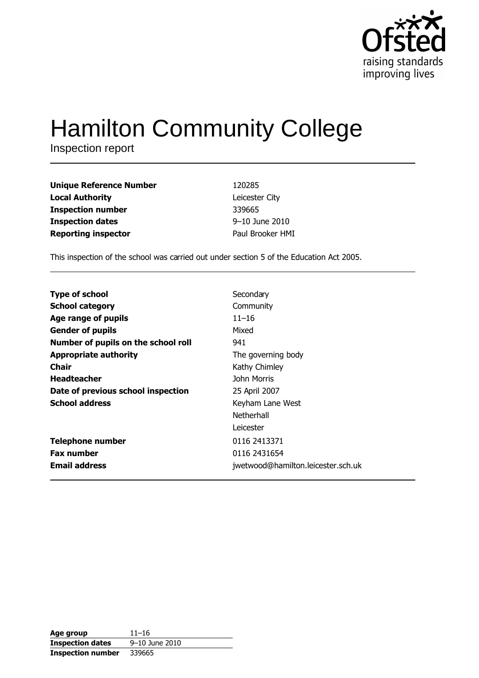

# **Hamilton Community College**

Inspection report

| <b>Unique Reference Number</b> | 120285           |
|--------------------------------|------------------|
| <b>Local Authority</b>         | Leicester City   |
| <b>Inspection number</b>       | 339665           |
| <b>Inspection dates</b>        | 9-10 June 2010   |
| <b>Reporting inspector</b>     | Paul Brooker HMI |

This inspection of the school was carried out under section 5 of the Education Act 2005.

| <b>Type of school</b>               | Secondary                          |
|-------------------------------------|------------------------------------|
| <b>School category</b>              | Community                          |
| Age range of pupils                 | $11 - 16$                          |
| <b>Gender of pupils</b>             | Mixed                              |
| Number of pupils on the school roll | 941                                |
| <b>Appropriate authority</b>        | The governing body                 |
| <b>Chair</b>                        | Kathy Chimley                      |
| <b>Headteacher</b>                  | John Morris                        |
| Date of previous school inspection  | 25 April 2007                      |
| <b>School address</b>               | Keyham Lane West                   |
|                                     | Netherhall                         |
|                                     | Leicester                          |
| <b>Telephone number</b>             | 0116 2413371                       |
| <b>Fax number</b>                   | 0116 2431654                       |
| <b>Email address</b>                | jwetwood@hamilton.leicester.sch.uk |

| Age group                | $11 - 16$      |
|--------------------------|----------------|
| <b>Inspection dates</b>  | 9-10 June 2010 |
| <b>Inspection number</b> | 339665         |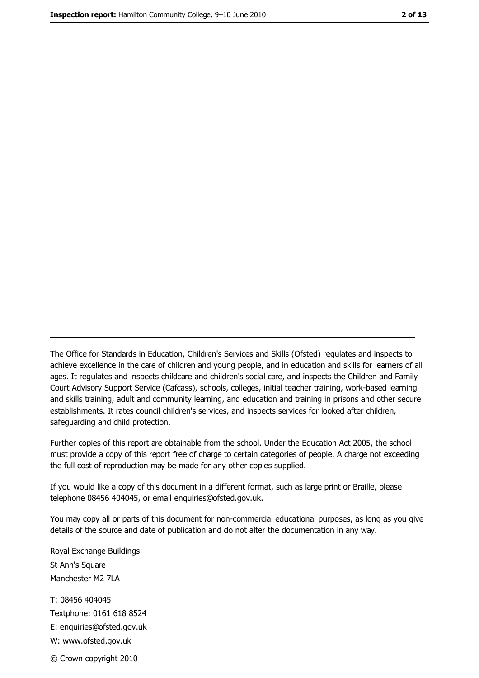The Office for Standards in Education, Children's Services and Skills (Ofsted) regulates and inspects to achieve excellence in the care of children and young people, and in education and skills for learners of all ages. It regulates and inspects childcare and children's social care, and inspects the Children and Family Court Advisory Support Service (Cafcass), schools, colleges, initial teacher training, work-based learning and skills training, adult and community learning, and education and training in prisons and other secure establishments. It rates council children's services, and inspects services for looked after children, safequarding and child protection.

Further copies of this report are obtainable from the school. Under the Education Act 2005, the school must provide a copy of this report free of charge to certain categories of people. A charge not exceeding the full cost of reproduction may be made for any other copies supplied.

If you would like a copy of this document in a different format, such as large print or Braille, please telephone 08456 404045, or email enquiries@ofsted.gov.uk.

You may copy all or parts of this document for non-commercial educational purposes, as long as you give details of the source and date of publication and do not alter the documentation in any way.

Royal Exchange Buildings St Ann's Square Manchester M2 7LA T: 08456 404045 Textphone: 0161 618 8524 E: enquiries@ofsted.gov.uk W: www.ofsted.gov.uk © Crown copyright 2010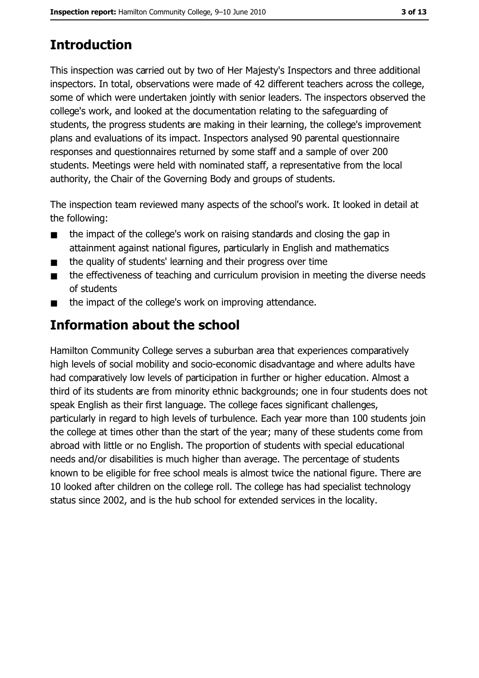# **Introduction**

This inspection was carried out by two of Her Majesty's Inspectors and three additional inspectors. In total, observations were made of 42 different teachers across the college, some of which were undertaken jointly with senior leaders. The inspectors observed the college's work, and looked at the documentation relating to the safeguarding of students, the progress students are making in their learning, the college's improvement plans and evaluations of its impact. Inspectors analysed 90 parental questionnaire responses and questionnaires returned by some staff and a sample of over 200 students. Meetings were held with nominated staff, a representative from the local authority, the Chair of the Governing Body and groups of students.

The inspection team reviewed many aspects of the school's work. It looked in detail at the following:

- the impact of the college's work on raising standards and closing the gap in  $\blacksquare$ attainment against national figures, particularly in English and mathematics
- the quality of students' learning and their progress over time  $\blacksquare$
- the effectiveness of teaching and curriculum provision in meeting the diverse needs  $\blacksquare$ of students
- the impact of the college's work on improving attendance.  $\blacksquare$

# Information about the school

Hamilton Community College serves a suburban area that experiences comparatively high levels of social mobility and socio-economic disadvantage and where adults have had comparatively low levels of participation in further or higher education. Almost a third of its students are from minority ethnic backgrounds; one in four students does not speak English as their first language. The college faces significant challenges, particularly in regard to high levels of turbulence. Each year more than 100 students join the college at times other than the start of the year; many of these students come from abroad with little or no English. The proportion of students with special educational needs and/or disabilities is much higher than average. The percentage of students known to be eligible for free school meals is almost twice the national figure. There are 10 looked after children on the college roll. The college has had specialist technology status since 2002, and is the hub school for extended services in the locality.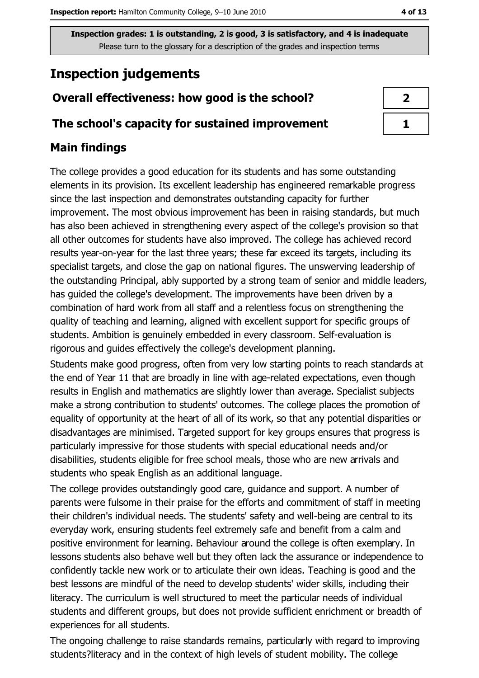## **Inspection judgements**

## Overall effectiveness: how good is the school?

#### The school's capacity for sustained improvement

#### **Main findings**

The college provides a good education for its students and has some outstanding elements in its provision. Its excellent leadership has engineered remarkable progress since the last inspection and demonstrates outstanding capacity for further improvement. The most obvious improvement has been in raising standards, but much has also been achieved in strengthening every aspect of the college's provision so that all other outcomes for students have also improved. The college has achieved record results year-on-year for the last three years; these far exceed its targets, including its specialist targets, and close the gap on national figures. The unswerving leadership of the outstanding Principal, ably supported by a strong team of senior and middle leaders, has guided the college's development. The improvements have been driven by a combination of hard work from all staff and a relentless focus on strengthening the quality of teaching and learning, aligned with excellent support for specific groups of students. Ambition is genuinely embedded in every classroom. Self-evaluation is rigorous and quides effectively the college's development planning.

Students make good progress, often from very low starting points to reach standards at the end of Year 11 that are broadly in line with age-related expectations, even though results in English and mathematics are slightly lower than average. Specialist subjects make a strong contribution to students' outcomes. The college places the promotion of equality of opportunity at the heart of all of its work, so that any potential disparities or disadvantages are minimised. Targeted support for key groups ensures that progress is particularly impressive for those students with special educational needs and/or disabilities, students eligible for free school meals, those who are new arrivals and students who speak English as an additional language.

The college provides outstandingly good care, guidance and support. A number of parents were fulsome in their praise for the efforts and commitment of staff in meeting their children's individual needs. The students' safety and well-being are central to its everyday work, ensuring students feel extremely safe and benefit from a calm and positive environment for learning. Behaviour around the college is often exemplary. In lessons students also behave well but they often lack the assurance or independence to confidently tackle new work or to articulate their own ideas. Teaching is good and the best lessons are mindful of the need to develop students' wider skills, including their literacy. The curriculum is well structured to meet the particular needs of individual students and different groups, but does not provide sufficient enrichment or breadth of experiences for all students.

The ongoing challenge to raise standards remains, particularly with regard to improving students?literacy and in the context of high levels of student mobility. The college

| ◢ |
|---|
|   |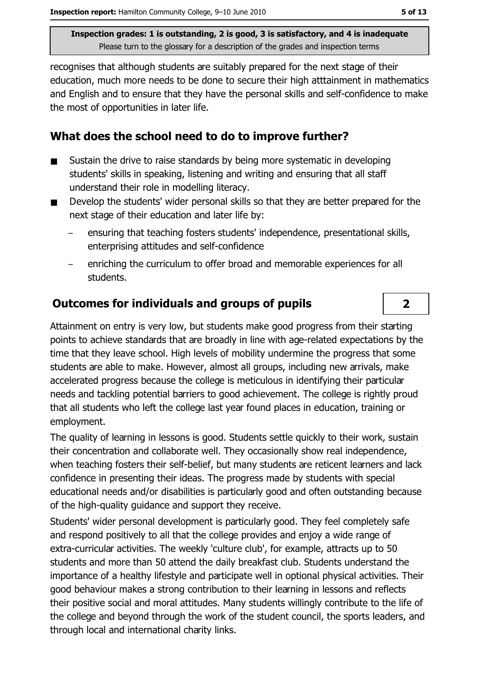recognises that although students are suitably prepared for the next stage of their education, much more needs to be done to secure their high atttainment in mathematics and English and to ensure that they have the personal skills and self-confidence to make the most of opportunities in later life.

#### What does the school need to do to improve further?

- Sustain the drive to raise standards by being more systematic in developing п students' skills in speaking, listening and writing and ensuring that all staff understand their role in modelling literacy.
- Develop the students' wider personal skills so that they are better prepared for the  $\blacksquare$ next stage of their education and later life by:
	- ensuring that teaching fosters students' independence, presentational skills, enterprising attitudes and self-confidence
	- enriching the curriculum to offer broad and memorable experiences for all students.

#### **Outcomes for individuals and groups of pupils**

Attainment on entry is very low, but students make good progress from their starting points to achieve standards that are broadly in line with age-related expectations by the time that they leave school. High levels of mobility undermine the progress that some students are able to make. However, almost all groups, including new arrivals, make accelerated progress because the college is meticulous in identifying their particular needs and tackling potential barriers to good achievement. The college is rightly proud that all students who left the college last year found places in education, training or employment.

The quality of learning in lessons is good. Students settle quickly to their work, sustain their concentration and collaborate well. They occasionally show real independence, when teaching fosters their self-belief, but many students are reticent learners and lack confidence in presenting their ideas. The progress made by students with special educational needs and/or disabilities is particularly good and often outstanding because of the high-quality guidance and support they receive.

Students' wider personal development is particularly good. They feel completely safe and respond positively to all that the college provides and enjoy a wide range of extra-curricular activities. The weekly 'culture club', for example, attracts up to 50 students and more than 50 attend the daily breakfast club. Students understand the importance of a healthy lifestyle and participate well in optional physical activities. Their good behaviour makes a strong contribution to their learning in lessons and reflects their positive social and moral attitudes. Many students willingly contribute to the life of the college and beyond through the work of the student council, the sports leaders, and through local and international charity links.

 $\overline{2}$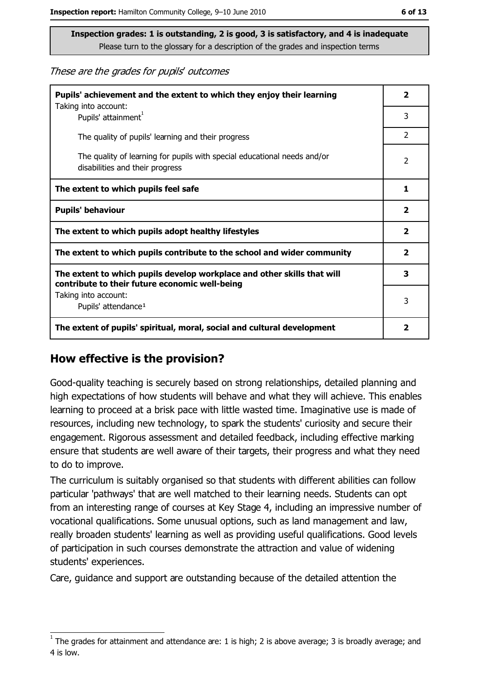These are the grades for pupils' outcomes

| Pupils' achievement and the extent to which they enjoy their learning                                                     |              |
|---------------------------------------------------------------------------------------------------------------------------|--------------|
| Taking into account:<br>Pupils' attainment <sup>1</sup>                                                                   | 3            |
| The quality of pupils' learning and their progress                                                                        | 2            |
| The quality of learning for pupils with special educational needs and/or<br>disabilities and their progress               | 2            |
| The extent to which pupils feel safe                                                                                      | 1            |
| <b>Pupils' behaviour</b>                                                                                                  |              |
| The extent to which pupils adopt healthy lifestyles                                                                       | $\mathbf{2}$ |
| The extent to which pupils contribute to the school and wider community                                                   |              |
| The extent to which pupils develop workplace and other skills that will<br>contribute to their future economic well-being |              |
| Taking into account:<br>Pupils' attendance <sup>1</sup>                                                                   | 3            |
| The extent of pupils' spiritual, moral, social and cultural development                                                   | 2            |

#### How effective is the provision?

Good-quality teaching is securely based on strong relationships, detailed planning and high expectations of how students will behave and what they will achieve. This enables learning to proceed at a brisk pace with little wasted time. Imaginative use is made of resources, including new technology, to spark the students' curiosity and secure their engagement. Rigorous assessment and detailed feedback, including effective marking ensure that students are well aware of their targets, their progress and what they need to do to improve.

The curriculum is suitably organised so that students with different abilities can follow particular 'pathways' that are well matched to their learning needs. Students can opt from an interesting range of courses at Key Stage 4, including an impressive number of vocational qualifications. Some unusual options, such as land management and law, really broaden students' learning as well as providing useful qualifications. Good levels of participation in such courses demonstrate the attraction and value of widening students' experiences.

Care, quidance and support are outstanding because of the detailed attention the

The grades for attainment and attendance are: 1 is high; 2 is above average; 3 is broadly average; and 4 is low.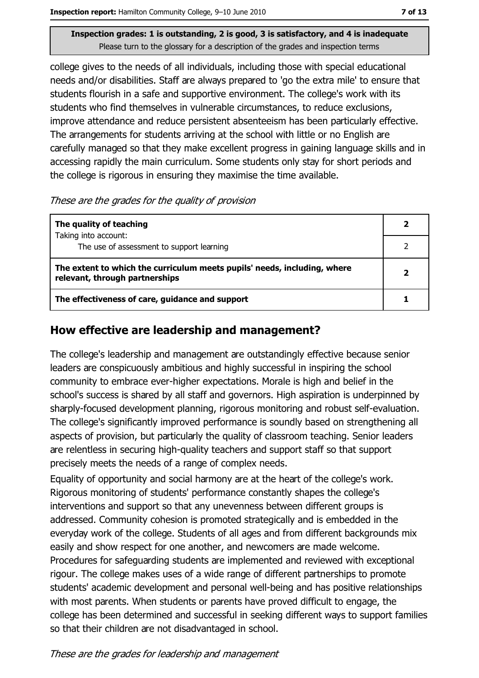college gives to the needs of all individuals, including those with special educational needs and/or disabilities. Staff are always prepared to 'go the extra mile' to ensure that students flourish in a safe and supportive environment. The college's work with its students who find themselves in vulnerable circumstances, to reduce exclusions, improve attendance and reduce persistent absenteeism has been particularly effective. The arrangements for students arriving at the school with little or no English are carefully managed so that they make excellent progress in gaining language skills and in accessing rapidly the main curriculum. Some students only stay for short periods and the college is rigorous in ensuring they maximise the time available.

These are the grades for the quality of provision

| The quality of teaching                                                                                    |  |
|------------------------------------------------------------------------------------------------------------|--|
| Taking into account:<br>The use of assessment to support learning                                          |  |
|                                                                                                            |  |
| The extent to which the curriculum meets pupils' needs, including, where<br>relevant, through partnerships |  |
| The effectiveness of care, guidance and support                                                            |  |

#### How effective are leadership and management?

The college's leadership and management are outstandingly effective because senior leaders are conspicuously ambitious and highly successful in inspiring the school community to embrace ever-higher expectations. Morale is high and belief in the school's success is shared by all staff and governors. High aspiration is underpinned by sharply-focused development planning, rigorous monitoring and robust self-evaluation. The college's significantly improved performance is soundly based on strengthening all aspects of provision, but particularly the quality of classroom teaching. Senior leaders are relentless in securing high-quality teachers and support staff so that support precisely meets the needs of a range of complex needs.

Equality of opportunity and social harmony are at the heart of the college's work. Rigorous monitoring of students' performance constantly shapes the college's interventions and support so that any unevenness between different groups is addressed. Community cohesion is promoted strategically and is embedded in the everyday work of the college. Students of all ages and from different backgrounds mix easily and show respect for one another, and newcomers are made welcome. Procedures for safeguarding students are implemented and reviewed with exceptional rigour. The college makes uses of a wide range of different partnerships to promote students' academic development and personal well-being and has positive relationships with most parents. When students or parents have proved difficult to engage, the college has been determined and successful in seeking different ways to support families so that their children are not disadvantaged in school.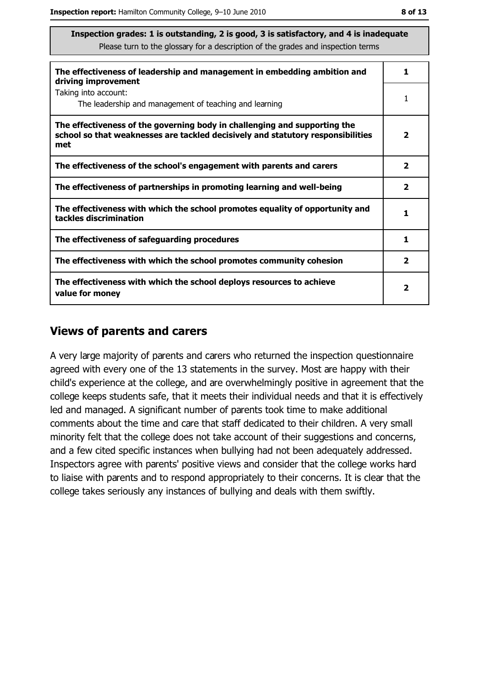| The effectiveness of leadership and management in embedding ambition and<br>driving improvement                                                                     | 1.                      |
|---------------------------------------------------------------------------------------------------------------------------------------------------------------------|-------------------------|
| Taking into account:<br>The leadership and management of teaching and learning                                                                                      |                         |
| The effectiveness of the governing body in challenging and supporting the<br>school so that weaknesses are tackled decisively and statutory responsibilities<br>met | $\overline{\mathbf{2}}$ |
| The effectiveness of the school's engagement with parents and carers                                                                                                | $\overline{\mathbf{2}}$ |
| The effectiveness of partnerships in promoting learning and well-being                                                                                              | $\overline{\mathbf{2}}$ |
| The effectiveness with which the school promotes equality of opportunity and<br>tackles discrimination                                                              |                         |
| The effectiveness of safeguarding procedures                                                                                                                        | 1                       |
| The effectiveness with which the school promotes community cohesion                                                                                                 | $\mathbf{2}$            |
| The effectiveness with which the school deploys resources to achieve<br>value for money                                                                             | 2                       |

#### **Views of parents and carers**

A very large majority of parents and carers who returned the inspection questionnaire agreed with every one of the 13 statements in the survey. Most are happy with their child's experience at the college, and are overwhelmingly positive in agreement that the college keeps students safe, that it meets their individual needs and that it is effectively led and managed. A significant number of parents took time to make additional comments about the time and care that staff dedicated to their children. A very small minority felt that the college does not take account of their suggestions and concerns, and a few cited specific instances when bullying had not been adequately addressed. Inspectors agree with parents' positive views and consider that the college works hard to liaise with parents and to respond appropriately to their concerns. It is clear that the college takes seriously any instances of bullying and deals with them swiftly.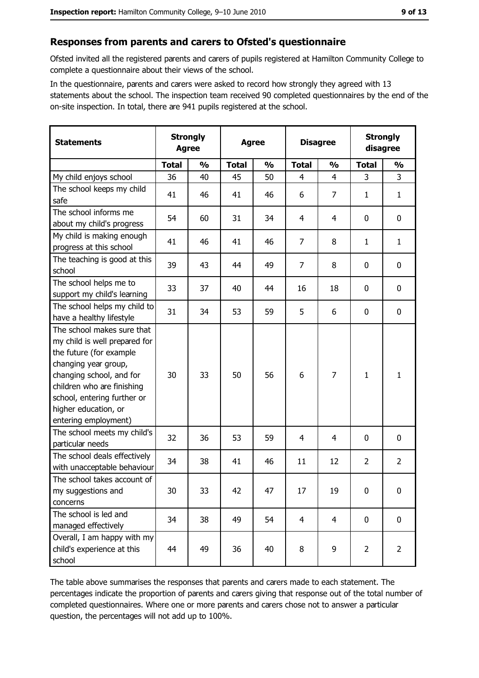#### Responses from parents and carers to Ofsted's questionnaire

Ofsted invited all the registered parents and carers of pupils registered at Hamilton Community College to complete a questionnaire about their views of the school.

In the questionnaire, parents and carers were asked to record how strongly they agreed with 13 statements about the school. The inspection team received 90 completed questionnaires by the end of the on-site inspection. In total, there are 941 pupils registered at the school.

| <b>Statements</b>                                                                                                                                                                                                                                       | <b>Strongly</b><br><b>Agree</b> |               | <b>Agree</b> |               |                | <b>Disagree</b> |                | <b>Strongly</b><br>disagree |  |
|---------------------------------------------------------------------------------------------------------------------------------------------------------------------------------------------------------------------------------------------------------|---------------------------------|---------------|--------------|---------------|----------------|-----------------|----------------|-----------------------------|--|
|                                                                                                                                                                                                                                                         | <b>Total</b>                    | $\frac{0}{0}$ | <b>Total</b> | $\frac{0}{0}$ | <b>Total</b>   | $\frac{0}{0}$   | <b>Total</b>   | $\frac{1}{2}$               |  |
| My child enjoys school                                                                                                                                                                                                                                  | 36                              | 40            | 45           | 50            | 4              | 4               | 3              | 3                           |  |
| The school keeps my child<br>safe                                                                                                                                                                                                                       | 41                              | 46            | 41           | 46            | 6              | 7               | 1              | $\mathbf{1}$                |  |
| The school informs me<br>about my child's progress                                                                                                                                                                                                      | 54                              | 60            | 31           | 34            | 4              | 4               | 0              | 0                           |  |
| My child is making enough<br>progress at this school                                                                                                                                                                                                    | 41                              | 46            | 41           | 46            | 7              | 8               | 1              | $\mathbf{1}$                |  |
| The teaching is good at this<br>school                                                                                                                                                                                                                  | 39                              | 43            | 44           | 49            | $\overline{7}$ | 8               | $\Omega$       | $\mathbf 0$                 |  |
| The school helps me to<br>support my child's learning                                                                                                                                                                                                   | 33                              | 37            | 40           | 44            | 16             | 18              | 0              | 0                           |  |
| The school helps my child to<br>have a healthy lifestyle                                                                                                                                                                                                | 31                              | 34            | 53           | 59            | 5              | 6               | 0              | $\mathbf 0$                 |  |
| The school makes sure that<br>my child is well prepared for<br>the future (for example<br>changing year group,<br>changing school, and for<br>children who are finishing<br>school, entering further or<br>higher education, or<br>entering employment) | 30                              | 33            | 50           | 56            | 6              | $\overline{7}$  | $\mathbf{1}$   | $\mathbf{1}$                |  |
| The school meets my child's<br>particular needs                                                                                                                                                                                                         | 32                              | 36            | 53           | 59            | $\overline{4}$ | 4               | 0              | $\mathbf 0$                 |  |
| The school deals effectively<br>with unacceptable behaviour                                                                                                                                                                                             | 34                              | 38            | 41           | 46            | 11             | 12              | $\overline{2}$ | $\overline{2}$              |  |
| The school takes account of<br>my suggestions and<br>concerns                                                                                                                                                                                           | 30                              | 33            | 42           | 47            | 17             | 19              | 0              | $\bf{0}$                    |  |
| The school is led and<br>managed effectively                                                                                                                                                                                                            | 34                              | 38            | 49           | 54            | 4              | $\overline{4}$  | 0              | $\mathbf 0$                 |  |
| Overall, I am happy with my<br>child's experience at this<br>school                                                                                                                                                                                     | 44                              | 49            | 36           | 40            | 8              | 9               | $\overline{2}$ | $\overline{2}$              |  |

The table above summarises the responses that parents and carers made to each statement. The percentages indicate the proportion of parents and carers giving that response out of the total number of completed questionnaires. Where one or more parents and carers chose not to answer a particular question, the percentages will not add up to 100%.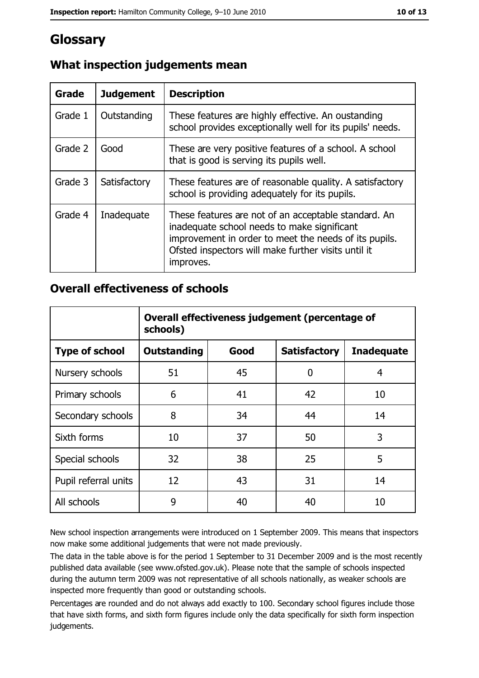## Glossary

| Grade   | <b>Judgement</b> | <b>Description</b>                                                                                                                                                                                                               |
|---------|------------------|----------------------------------------------------------------------------------------------------------------------------------------------------------------------------------------------------------------------------------|
| Grade 1 | Outstanding      | These features are highly effective. An oustanding<br>school provides exceptionally well for its pupils' needs.                                                                                                                  |
| Grade 2 | Good             | These are very positive features of a school. A school<br>that is good is serving its pupils well.                                                                                                                               |
| Grade 3 | Satisfactory     | These features are of reasonable quality. A satisfactory<br>school is providing adequately for its pupils.                                                                                                                       |
| Grade 4 | Inadequate       | These features are not of an acceptable standard. An<br>inadequate school needs to make significant<br>improvement in order to meet the needs of its pupils.<br>Ofsted inspectors will make further visits until it<br>improves. |

## What inspection judgements mean

#### **Overall effectiveness of schools**

|                       | Overall effectiveness judgement (percentage of<br>schools) |      |                     |                   |
|-----------------------|------------------------------------------------------------|------|---------------------|-------------------|
| <b>Type of school</b> | <b>Outstanding</b>                                         | Good | <b>Satisfactory</b> | <b>Inadequate</b> |
| Nursery schools       | 51                                                         | 45   | 0                   | 4                 |
| Primary schools       | 6                                                          | 41   | 42                  | 10                |
| Secondary schools     | 8                                                          | 34   | 44                  | 14                |
| Sixth forms           | 10                                                         | 37   | 50                  | 3                 |
| Special schools       | 32                                                         | 38   | 25                  | 5                 |
| Pupil referral units  | 12                                                         | 43   | 31                  | 14                |
| All schools           | 9                                                          | 40   | 40                  | 10                |

New school inspection arrangements were introduced on 1 September 2009. This means that inspectors now make some additional judgements that were not made previously.

The data in the table above is for the period 1 September to 31 December 2009 and is the most recently published data available (see www.ofsted.gov.uk). Please note that the sample of schools inspected during the autumn term 2009 was not representative of all schools nationally, as weaker schools are inspected more frequently than good or outstanding schools.

Percentages are rounded and do not always add exactly to 100. Secondary school figures include those that have sixth forms, and sixth form figures include only the data specifically for sixth form inspection judgements.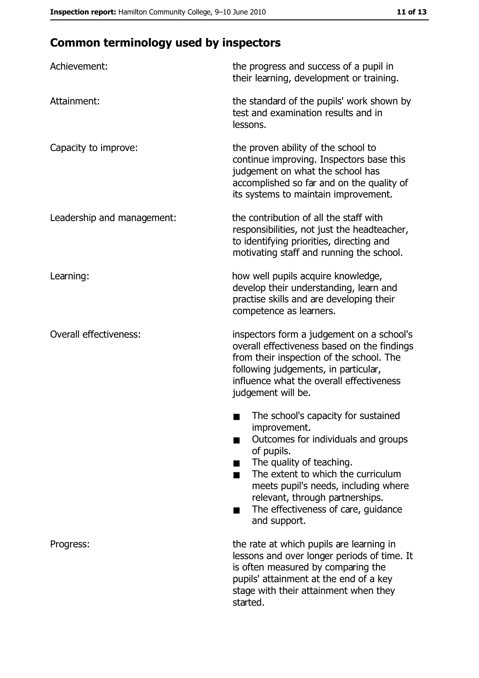# **Common terminology used by inspectors**

| Achievement:                  | the progress and success of a pupil in<br>their learning, development or training.                                                                                                                                                                                                                           |
|-------------------------------|--------------------------------------------------------------------------------------------------------------------------------------------------------------------------------------------------------------------------------------------------------------------------------------------------------------|
| Attainment:                   | the standard of the pupils' work shown by<br>test and examination results and in<br>lessons.                                                                                                                                                                                                                 |
| Capacity to improve:          | the proven ability of the school to<br>continue improving. Inspectors base this<br>judgement on what the school has<br>accomplished so far and on the quality of<br>its systems to maintain improvement.                                                                                                     |
| Leadership and management:    | the contribution of all the staff with<br>responsibilities, not just the headteacher,<br>to identifying priorities, directing and<br>motivating staff and running the school.                                                                                                                                |
| Learning:                     | how well pupils acquire knowledge,<br>develop their understanding, learn and<br>practise skills and are developing their<br>competence as learners.                                                                                                                                                          |
| <b>Overall effectiveness:</b> | inspectors form a judgement on a school's<br>overall effectiveness based on the findings<br>from their inspection of the school. The<br>following judgements, in particular,<br>influence what the overall effectiveness<br>judgement will be.                                                               |
|                               | The school's capacity for sustained<br>improvement.<br>Outcomes for individuals and groups<br>of pupils.<br>The quality of teaching.<br>The extent to which the curriculum<br>meets pupil's needs, including where<br>relevant, through partnerships.<br>The effectiveness of care, guidance<br>and support. |
| Progress:                     | the rate at which pupils are learning in<br>lessons and over longer periods of time. It<br>is often measured by comparing the<br>pupils' attainment at the end of a key<br>stage with their attainment when they<br>started.                                                                                 |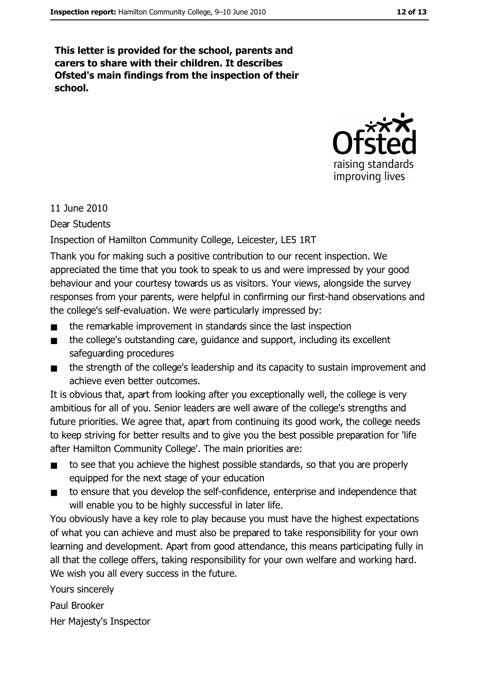This letter is provided for the school, parents and carers to share with their children. It describes Ofsted's main findings from the inspection of their school.



11 June 2010

Dear Students

## Inspection of Hamilton Community College, Leicester, LE5 1RT

Thank you for making such a positive contribution to our recent inspection. We appreciated the time that you took to speak to us and were impressed by your good behaviour and your courtesy towards us as visitors. Your views, alongside the survey responses from your parents, were helpful in confirming our first-hand observations and the college's self-evaluation. We were particularly impressed by:

- the remarkable improvement in standards since the last inspection  $\blacksquare$
- the college's outstanding care, guidance and support, including its excellent  $\blacksquare$ safeguarding procedures
- the strength of the college's leadership and its capacity to sustain improvement and  $\blacksquare$ achieve even better outcomes.

It is obvious that, apart from looking after you exceptionally well, the college is very ambitious for all of you. Senior leaders are well aware of the college's strengths and future priorities. We agree that, apart from continuing its good work, the college needs to keep striving for better results and to give you the best possible preparation for 'life after Hamilton Community College'. The main priorities are:

- to see that you achieve the highest possible standards, so that you are properly  $\blacksquare$ equipped for the next stage of your education
- to ensure that you develop the self-confidence, enterprise and independence that  $\blacksquare$ will enable you to be highly successful in later life.

You obviously have a key role to play because you must have the highest expectations of what you can achieve and must also be prepared to take responsibility for your own learning and development. Apart from good attendance, this means participating fully in all that the college offers, taking responsibility for your own welfare and working hard. We wish you all every success in the future.

Yours sincerely Paul Brooker

Her Majesty's Inspector